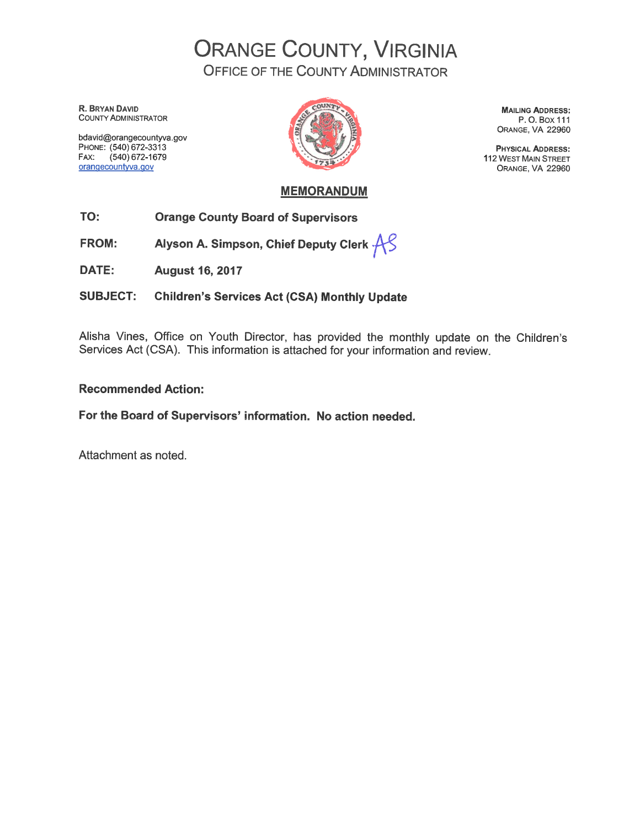**ORANGE COUNTY, VIRGINIA OFFICE OF THE COUNTY ADMINISTRATOR** 

R. BRYAN DAVID **COUNTY ADMINISTRATOR** 

bdavid@orangecountyva.gov PHONE: (540) 672-3313 FAX: (540) 672-1679 orangecountyva.gov



**MAILING ADDRESS:** P.O.Box 111 ORANGE, VA 22960

**PHYSICAL ADDRESS: 112 WEST MAIN STREET** ORANGE, VA 22960

## **MEMORANDUM**

- TO: **Orange County Board of Supervisors**
- Alyson A. Simpson, Chief Deputy Clerk  $AS$ **FROM:**
- DATE: **August 16, 2017**

**Children's Services Act (CSA) Monthly Update SUBJECT:** 

Alisha Vines, Office on Youth Director, has provided the monthly update on the Children's Services Act (CSA). This information is attached for your information and review.

## **Recommended Action:**

For the Board of Supervisors' information. No action needed.

Attachment as noted.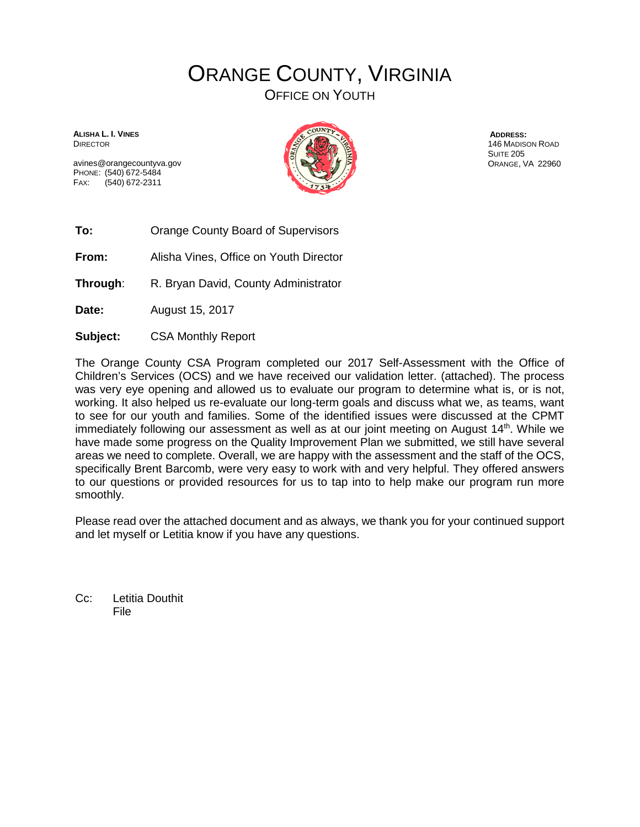# ORANGE COUNTY, VIRGINIA

OFFICE ON YOUTH

**ALISHA L. I. VINES** DIRECTOR

avines@orangecountyva.gov PHONE: (540) 672-5484 FAX: (540) 672-2311



**ADDRESS:**  146 MADISON ROAD SUITE 205 ORANGE, VA 22960

**To:** Orange County Board of Supervisors

**From:** Alisha Vines, Office on Youth Director

**Through:** R. Bryan David, County Administrator

**Date:** August 15, 2017

**Subject:** CSA Monthly Report

The Orange County CSA Program completed our 2017 Self-Assessment with the Office of Children's Services (OCS) and we have received our validation letter. (attached). The process was very eye opening and allowed us to evaluate our program to determine what is, or is not, working. It also helped us re-evaluate our long-term goals and discuss what we, as teams, want to see for our youth and families. Some of the identified issues were discussed at the CPMT immediately following our assessment as well as at our joint meeting on August 14<sup>th</sup>. While we have made some progress on the Quality Improvement Plan we submitted, we still have several areas we need to complete. Overall, we are happy with the assessment and the staff of the OCS, specifically Brent Barcomb, were very easy to work with and very helpful. They offered answers to our questions or provided resources for us to tap into to help make our program run more smoothly.

Please read over the attached document and as always, we thank you for your continued support and let myself or Letitia know if you have any questions.

Cc: Letitia Douthit File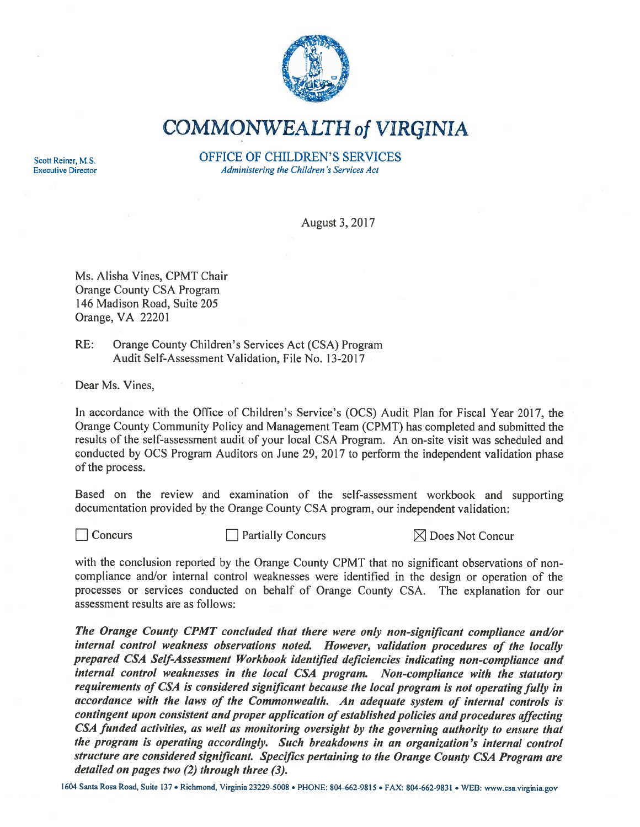

**COMMONWEALTH of VIRGINIA** 

Scott Reiner, M.S. **Executive Director**  **OFFICE OF CHILDREN'S SERVICES** Administering the Children's Services Act

August 3, 2017

Ms. Alisha Vines, CPMT Chair **Orange County CSA Program** 146 Madison Road, Suite 205 Orange, VA 22201

 $RE:$ Orange County Children's Services Act (CSA) Program Audit Self-Assessment Validation, File No. 13-2017

Dear Ms. Vines.

In accordance with the Office of Children's Service's (OCS) Audit Plan for Fiscal Year 2017, the Orange County Community Policy and Management Team (CPMT) has completed and submitted the results of the self-assessment audit of your local CSA Program. An on-site visit was scheduled and conducted by OCS Program Auditors on June 29, 2017 to perform the independent validation phase of the process.

Based on the review and examination of the self-assessment workbook and supporting documentation provided by the Orange County CSA program, our independent validation:

 $\Box$  Concurs

 $\Box$  Partially Concurs

 $\boxtimes$  Does Not Concur

with the conclusion reported by the Orange County CPMT that no significant observations of noncompliance and/or internal control weaknesses were identified in the design or operation of the processes or services conducted on behalf of Orange County CSA. The explanation for our assessment results are as follows:

The Orange County CPMT concluded that there were only non-significant compliance and/or internal control weakness observations noted. However, validation procedures of the locally prepared CSA Self-Assessment Workbook identified deficiencies indicating non-compliance and internal control weaknesses in the local CSA program. Non-compliance with the statutory requirements of CSA is considered significant because the local program is not operating fully in accordance with the laws of the Commonwealth. An adequate system of internal controls is contingent upon consistent and proper application of established policies and procedures affecting CSA funded activities, as well as monitoring oversight by the governing authority to ensure that the program is operating accordingly. Such breakdowns in an organization's internal control structure are considered significant. Specifics pertaining to the Orange County CSA Program are detailed on pages two  $(2)$  through three  $(3)$ .

1604 Santa Rosa Road, Suite 137 · Richmond, Virginia 23229-5008 · PHONE: 804-662-9815 · FAX: 804-662-9831 · WEB: www.csa.virginia.gov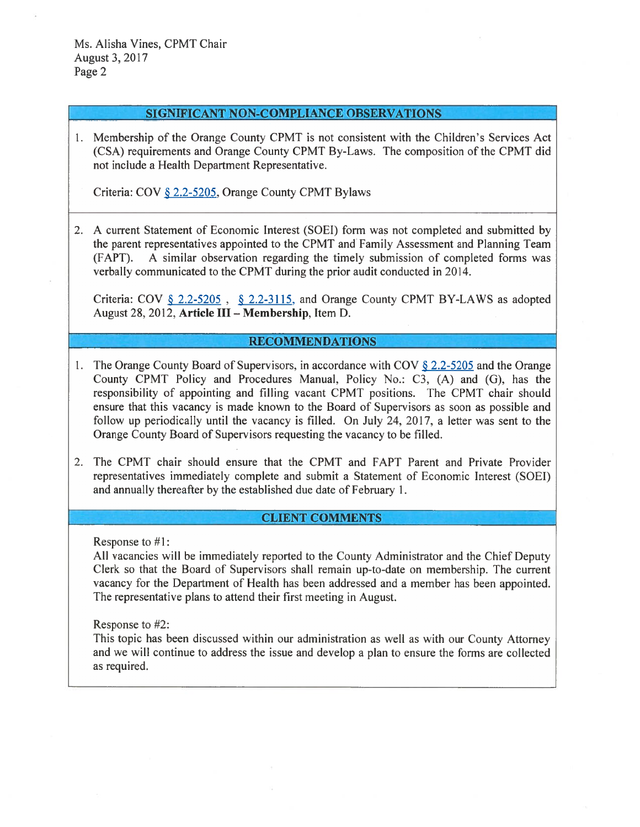### **SIGNIFICANT NON-COMPLIANCE OBSERVATIONS**

1. Membership of the Orange County CPMT is not consistent with the Children's Services Act (CSA) requirements and Orange County CPMT By-Laws. The composition of the CPMT did not include a Health Department Representative.

Criteria: COV § 2.2-5205, Orange County CPMT Bylaws

2. A current Statement of Economic Interest (SOEI) form was not completed and submitted by the parent representatives appointed to the CPMT and Family Assessment and Planning Team (FAPT). A similar observation regarding the timely submission of completed forms was verbally communicated to the CPMT during the prior audit conducted in 2014.

Criteria: COV § 2.2-5205, § 2.2-3115, and Orange County CPMT BY-LAWS as adopted August 28, 2012, Article III - Membership, Item D.

## **RECOMMENDATIONS**

- 1. The Orange County Board of Supervisors, in accordance with COV § 2.2-5205 and the Orange County CPMT Policy and Procedures Manual, Policy No.: C3, (A) and (G), has the responsibility of appointing and filling vacant CPMT positions. The CPMT chair should ensure that this vacancy is made known to the Board of Supervisors as soon as possible and follow up periodically until the vacancy is filled. On July 24, 2017, a letter was sent to the Orange County Board of Supervisors requesting the vacancy to be filled.
- 2. The CPMT chair should ensure that the CPMT and FAPT Parent and Private Provider representatives immediately complete and submit a Statement of Economic Interest (SOEI) and annually thereafter by the established due date of February 1.

#### **CLIENT COMMENTS**

Response to  $#1$ :

All vacancies will be immediately reported to the County Administrator and the Chief Deputy Clerk so that the Board of Supervisors shall remain up-to-date on membership. The current vacancy for the Department of Health has been addressed and a member has been appointed. The representative plans to attend their first meeting in August.

Response to #2:

This topic has been discussed within our administration as well as with our County Attorney and we will continue to address the issue and develop a plan to ensure the forms are collected as required.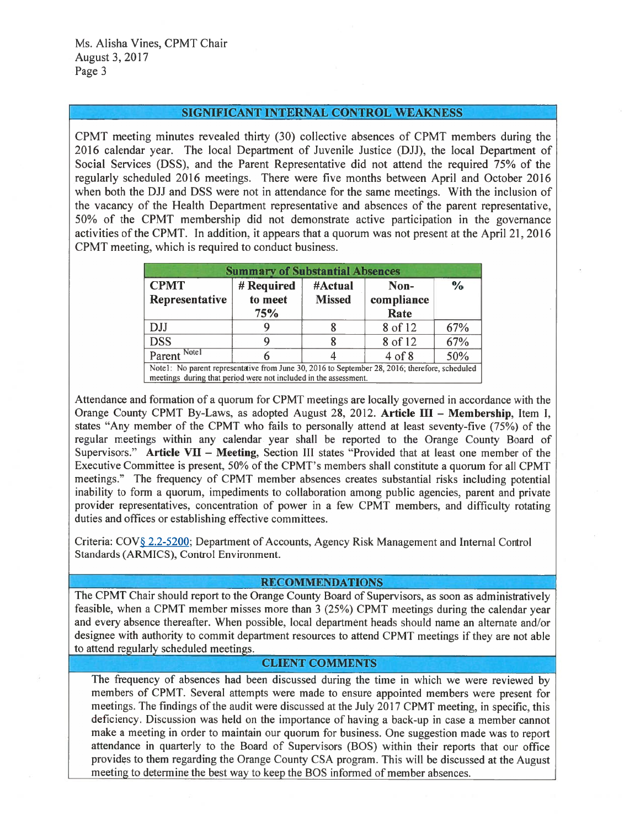#### SIGNIFICANT INTERNAL CONTROL WEAKNESS

CPMT meeting minutes revealed thirty (30) collective absences of CPMT members during the 2016 calendar year. The local Department of Juvenile Justice (DJJ), the local Department of Social Services (DSS), and the Parent Representative did not attend the required 75% of the regularly scheduled 2016 meetings. There were five months between April and October 2016 when both the DJJ and DSS were not in attendance for the same meetings. With the inclusion of the vacancy of the Health Department representative and absences of the parent representative, 50% of the CPMT membership did not demonstrate active participation in the governance activities of the CPMT. In addition, it appears that a quorum was not present at the April 21, 2016 CPMT meeting, which is required to conduct business.

| <b>Summary of Substantial Absences</b>                                                                                                                             |                |               |                    |               |  |  |  |  |
|--------------------------------------------------------------------------------------------------------------------------------------------------------------------|----------------|---------------|--------------------|---------------|--|--|--|--|
| <b>CPMT</b>                                                                                                                                                        | # Required     | #Actual       | Non-               | $\frac{0}{0}$ |  |  |  |  |
| Representative                                                                                                                                                     | to meet<br>75% | <b>Missed</b> | compliance<br>Rate |               |  |  |  |  |
| <b>DJJ</b>                                                                                                                                                         |                |               | 8 of 12            | 67%           |  |  |  |  |
| <b>DSS</b>                                                                                                                                                         |                |               | 8 of 12            | 67%           |  |  |  |  |
| Parent Notel                                                                                                                                                       |                |               | $4$ of $8$         | 50%           |  |  |  |  |
| Note1: No parent representative from June 30, 2016 to September 28, 2016; therefore, scheduled<br>meetings during that period were not included in the assessment. |                |               |                    |               |  |  |  |  |

Attendance and formation of a quorum for CPMT meetings are locally governed in accordance with the Orange County CPMT By-Laws, as adopted August 28, 2012. Article III - Membership, Item I, states "Any member of the CPMT who fails to personally attend at least seventy-five (75%) of the regular meetings within any calendar year shall be reported to the Orange County Board of Supervisors." Article VII - Meeting, Section III states "Provided that at least one member of the Executive Committee is present, 50% of the CPMT's members shall constitute a quorum for all CPMT meetings." The frequency of CPMT member absences creates substantial risks including potential inability to form a quorum, impediments to collaboration among public agencies, parent and private provider representatives, concentration of power in a few CPMT members, and difficulty rotating duties and offices or establishing effective committees.

Criteria: COV§ 2.2-5200; Department of Accounts, Agency Risk Management and Internal Control Standards (ARMICS), Control Environment.

#### **RECOMMENDATIONS**

The CPMT Chair should report to the Orange County Board of Supervisors, as soon as administratively feasible, when a CPMT member misses more than 3 (25%) CPMT meetings during the calendar year and every absence thereafter. When possible, local department heads should name an alternate and/or designee with authority to commit department resources to attend CPMT meetings if they are not able to attend regularly scheduled meetings.

#### **CLIENT COMMENTS**

The frequency of absences had been discussed during the time in which we were reviewed by members of CPMT. Several attempts were made to ensure appointed members were present for meetings. The findings of the audit were discussed at the July 2017 CPMT meeting, in specific, this deficiency. Discussion was held on the importance of having a back-up in case a member cannot make a meeting in order to maintain our quorum for business. One suggestion made was to report attendance in quarterly to the Board of Supervisors (BOS) within their reports that our office provides to them regarding the Orange County CSA program. This will be discussed at the August meeting to determine the best way to keep the BOS informed of member absences.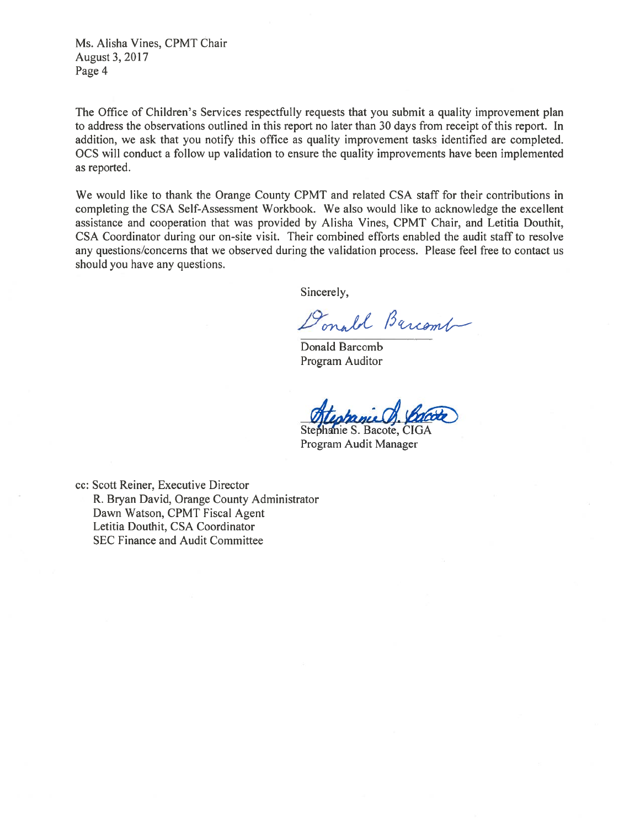Ms. Alisha Vines, CPMT Chair August 3, 2017 Page 4

The Office of Children's Services respectfully requests that you submit a quality improvement plan to address the observations outlined in this report no later than 30 days from receipt of this report. In addition, we ask that you notify this office as quality improvement tasks identified are completed. OCS will conduct a follow up validation to ensure the quality improvements have been implemented as reported.

We would like to thank the Orange County CPMT and related CSA staff for their contributions in completing the CSA Self-Assessment Workbook. We also would like to acknowledge the excellent assistance and cooperation that was provided by Alisha Vines, CPMT Chair, and Letitia Douthit, CSA Coordinator during our on-site visit. Their combined efforts enabled the audit staff to resolve any questions/concerns that we observed during the validation process. Please feel free to contact us should you have any questions.

Sincerely,

Donald Barcomb

Donald Barcomb Program Auditor

Stephanie S. Bacote, CIGA Program Audit Manager

cc: Scott Reiner, Executive Director R. Bryan David, Orange County Administrator Dawn Watson, CPMT Fiscal Agent Letitia Douthit, CSA Coordinator SEC Finance and Audit Committee